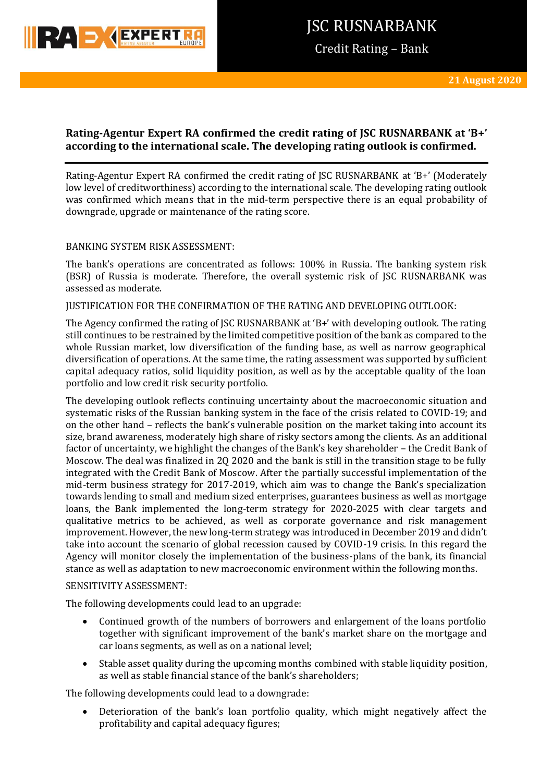

Credit Rating – Bank

# **Rating-Agentur Expert RA confirmed the credit rating of JSC RUSNARBANK at 'B+' according to the international scale. The developing rating outlook is confirmed.**

Rating-Agentur Expert RA confirmed the credit rating of JSC RUSNARBANK at 'B+' (Moderately low level of creditworthiness) according to the international scale. The developing rating outlook was confirmed which means that in the mid-term perspective there is an equal probability of downgrade, upgrade or maintenance of the rating score.

# BANKING SYSTEM RISK ASSESSMENT:

The bank's operations are concentrated as follows: 100% in Russia. The banking system risk (BSR) of Russia is moderate. Therefore, the overall systemic risk of JSC RUSNARBANK was assessed as moderate.

# JUSTIFICATION FOR THE CONFIRMATION OF THE RATING AND DEVELOPING OUTLOOK:

The Agency confirmed the rating of JSC RUSNARBANK at 'B+' with developing outlook. The rating still continues to be restrained by the limited competitive position of the bank as compared to the whole Russian market, low diversification of the funding base, as well as narrow geographical diversification of operations. At the same time, the rating assessment was supported by sufficient capital adequacy ratios, solid liquidity position, as well as by the acceptable quality of the loan portfolio and low credit risk security portfolio.

The developing outlook reflects continuing uncertainty about the macroeconomic situation and systematic risks of the Russian banking system in the face of the crisis related to COVID-19; and on the other hand – reflects the bank's vulnerable position on the market taking into account its size, brand awareness, moderately high share of risky sectors among the clients. As an additional factor of uncertainty, we highlight the changes of the Bank's key shareholder – the Credit Bank of Moscow. The deal was finalized in 2Q 2020 and the bank is still in the transition stage to be fully integrated with the Credit Bank of Moscow. After the partially successful implementation of the mid-term business strategy for 2017-2019, which aim was to change the Bank's specialization towards lending to small and medium sized enterprises, guarantees business as well as mortgage loans, the Bank implemented the long-term strategy for 2020-2025 with clear targets and qualitative metrics to be achieved, as well as corporate governance and risk management improvement. However, the new long-term strategy was introduced in December 2019 and didn't take into account the scenario of global recession caused by COVID-19 crisis. In this regard the Agency will monitor closely the implementation of the business-plans of the bank, its financial stance as well as adaptation to new macroeconomic environment within the following months.

### SENSITIVITY ASSESSMENT:

The following developments could lead to an upgrade:

- Continued growth of the numbers of borrowers and enlargement of the loans portfolio together with significant improvement of the bank's market share on the mortgage and car loans segments, as well as on a national level;
- Stable asset quality during the upcoming months combined with stable liquidity position, as well as stable financial stance of the bank's shareholders;

The following developments could lead to a downgrade:

 Deterioration of the bank's loan portfolio quality, which might negatively affect the profitability and capital adequacy figures;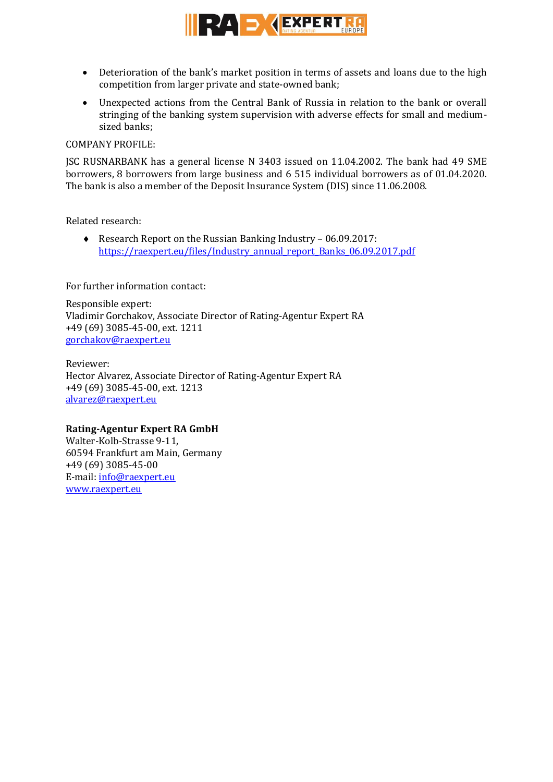

- Deterioration of the bank's market position in terms of assets and loans due to the high competition from larger private and state-owned bank;
- Unexpected actions from the Central Bank of Russia in relation to the bank or overall stringing of the banking system supervision with adverse effects for small and mediumsized banks;

## COMPANY PROFILE:

JSC RUSNARBANK has a general license N 3403 issued on 11.04.2002. The bank had 49 SME borrowers, 8 borrowers from large business and 6 515 individual borrowers as of 01.04.2020. The bank is also a member of the Deposit Insurance System (DIS) since 11.06.2008.

Related research:

◆ Research Report on the Russian Banking Industry – 06.09.2017: [https://raexpert.eu/files/Industry\\_annual\\_report\\_Banks\\_06.09.2017.pdf](https://raexpert.eu/files/Industry_annual_report_Banks_06.09.2017.pdf)

For further information contact:

Responsible expert: Vladimir Gorchakov, Associate Director of Rating-Agentur Expert RA +49 (69) 3085-45-00, ext. 1211 [gorchakov@raexpert.eu](mailto:gorchakov@raexpert.eu)

Reviewer: Hector Alvarez, Associate Director of Rating-Agentur Expert RA +49 (69) 3085-45-00, ext. 1213 [alvarez@raexpert.eu](mailto:alvarez@raexpert.eu)

# **Rating-Agentur Expert RA GmbH**

Walter-Kolb-Strasse 9-11, 60594 Frankfurt am Main, Germany +49 (69) 3085-45-00 E-mail: [info@raexpert.eu](mailto:info@raexpert.eu) [www.raexpert.eu](http://raexpert.eu/)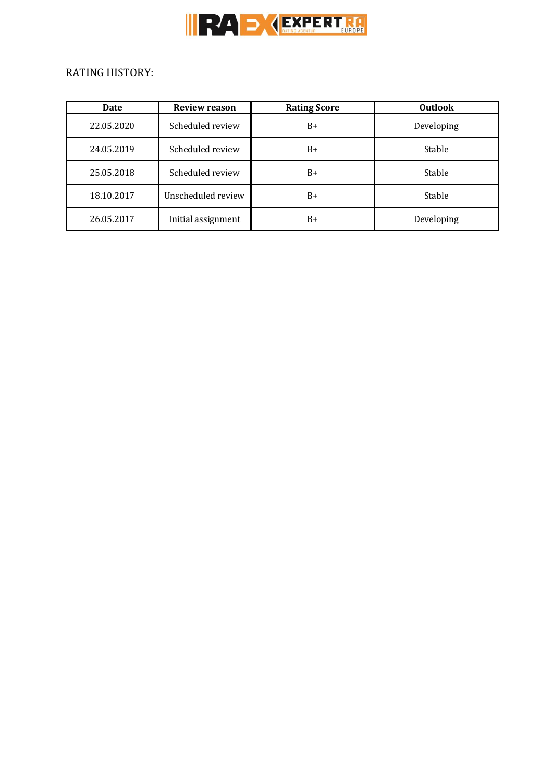

# RATING HISTORY:

| Date       | <b>Review reason</b> | <b>Rating Score</b> | <b>Outlook</b> |
|------------|----------------------|---------------------|----------------|
| 22.05.2020 | Scheduled review     | $B+$                | Developing     |
| 24.05.2019 | Scheduled review     | $B+$                | Stable         |
| 25.05.2018 | Scheduled review     | $B+$                | Stable         |
| 18.10.2017 | Unscheduled review   | $B+$                | Stable         |
| 26.05.2017 | Initial assignment   | $B+$                | Developing     |